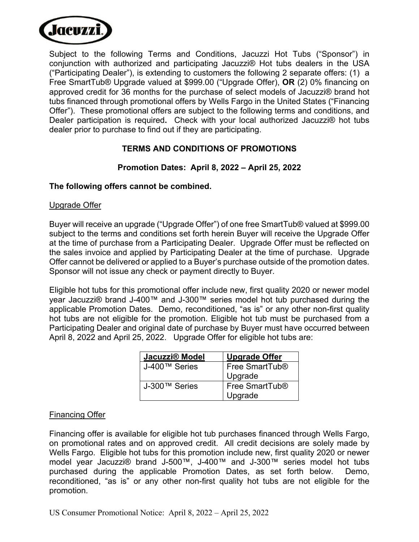

Subject to the following Terms and Conditions, Jacuzzi Hot Tubs ("Sponsor") in conjunction with authorized and participating Jacuzzi® Hot tubs dealers in the USA ("Participating Dealer"), is extending to customers the following 2 separate offers: (1) a Free SmartTub® Upgrade valued at \$999.00 ("Upgrade Offer), **OR** (2) 0% financing on approved credit for 36 months for the purchase of select models of Jacuzzi® brand hot tubs financed through promotional offers by Wells Fargo in the United States ("Financing Offer"). These promotional offers are subject to the following terms and conditions, and Dealer participation is required**.** Check with your local authorized Jacuzzi® hot tubs dealer prior to purchase to find out if they are participating.

# **TERMS AND CONDITIONS OF PROMOTIONS**

## **Promotion Dates: April 8, 2022 – April 25, 2022**

### **The following offers cannot be combined.**

#### Upgrade Offer

Buyer will receive an upgrade ("Upgrade Offer") of one free SmartTub® valued at \$999.00 subject to the terms and conditions set forth herein Buyer will receive the Upgrade Offer at the time of purchase from a Participating Dealer. Upgrade Offer must be reflected on the sales invoice and applied by Participating Dealer at the time of purchase. Upgrade Offer cannot be delivered or applied to a Buyer's purchase outside of the promotion dates. Sponsor will not issue any check or payment directly to Buyer.

Eligible hot tubs for this promotional offer include new, first quality 2020 or newer model year Jacuzzi® brand J-400™ and J-300™ series model hot tub purchased during the applicable Promotion Dates. Demo, reconditioned, "as is" or any other non-first quality hot tubs are not eligible for the promotion. Eligible hot tub must be purchased from a Participating Dealer and original date of purchase by Buyer must have occurred between April 8, 2022 and April 25, 2022. Upgrade Offer for eligible hot tubs are:

| Jacuzzi® Model | <b>Upgrade Offer</b>       |
|----------------|----------------------------|
| J-400™ Series  | Free SmartTub <sup>®</sup> |
|                | Upgrade                    |
| J-300™ Series  | Free SmartTub <sup>®</sup> |
|                | Upgrade                    |

## Financing Offer

Financing offer is available for eligible hot tub purchases financed through Wells Fargo, on promotional rates and on approved credit. All credit decisions are solely made by Wells Fargo. Eligible hot tubs for this promotion include new, first quality 2020 or newer model year Jacuzzi® brand J-500™, J-400™ and J-300™ series model hot tubs purchased during the applicable Promotion Dates, as set forth below. Demo, reconditioned, "as is" or any other non-first quality hot tubs are not eligible for the promotion.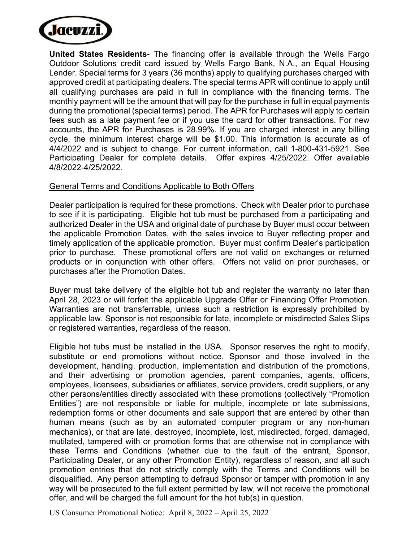

**United States Residents**- The financing offer is available through the Wells Fargo Outdoor Solutions credit card issued by Wells Fargo Bank, N.A., an Equal Housing Lender. Special terms for 3 years (36 months) apply to qualifying purchases charged with approved credit at participating dealers. The special terms APR will continue to apply until all qualifying purchases are paid in full in compliance with the financing terms. The monthly payment will be the amount that will pay for the purchase in full in equal payments during the promotional (special terms) period. The APR for Purchases will apply to certain fees such as a late payment fee or if you use the card for other transactions. For new accounts, the APR for Purchases is 28.99%. If you are charged interest in any billing cycle, the minimum interest charge will be \$1.00. This information is accurate as of 4/4/2022 and is subject to change. For current information, call 1-800-431-5921. See Participating Dealer for complete details. Offer expires 4/25/2022. Offer available 4/8/2022-4/25/2022.

### General Terms and Conditions Applicable to Both Offers

Dealer participation is required for these promotions. Check with Dealer prior to purchase to see if it is participating. Eligible hot tub must be purchased from a participating and authorized Dealer in the USA and original date of purchase by Buyer must occur between the applicable Promotion Dates, with the sales invoice to Buyer reflecting proper and timely application of the applicable promotion. Buyer must confirm Dealer's participation prior to purchase. These promotional offers are not valid on exchanges or returned products or in conjunction with other offers. Offers not valid on prior purchases, or purchases after the Promotion Dates.

Buyer must take delivery of the eligible hot tub and register the warranty no later than April 28, 2023 or will forfeit the applicable Upgrade Offer or Financing Offer Promotion. Warranties are not transferrable, unless such a restriction is expressly prohibited by applicable law. Sponsor is not responsible for late, incomplete or misdirected Sales Slips or registered warranties, regardless of the reason.

Eligible hot tubs must be installed in the USA. Sponsor reserves the right to modify, substitute or end promotions without notice. Sponsor and those involved in the development, handling, production, implementation and distribution of the promotions, and their advertising or promotion agencies, parent companies, agents, officers, employees, licensees, subsidiaries or affiliates, service providers, credit suppliers, or any other persons/entities directly associated with these promotions (collectively "Promotion Entities") are not responsible or liable for multiple, incomplete or late submissions, redemption forms or other documents and sale support that are entered by other than human means (such as by an automated computer program or any non-human mechanics), or that are late, destroyed, incomplete, lost, misdirected, forged, damaged, mutilated, tampered with or promotion forms that are otherwise not in compliance with these Terms and Conditions (whether due to the fault of the entrant, Sponsor, Participating Dealer, or any other Promotion Entity), regardless of reason, and all such promotion entries that do not strictly comply with the Terms and Conditions will be disqualified. Any person attempting to defraud Sponsor or tamper with promotion in any way will be prosecuted to the full extent permitted by law, will not receive the promotional offer, and will be charged the full amount for the hot tub(s) in question.

US Consumer Promotional Notice: April 8, 2022 – April 25, 2022